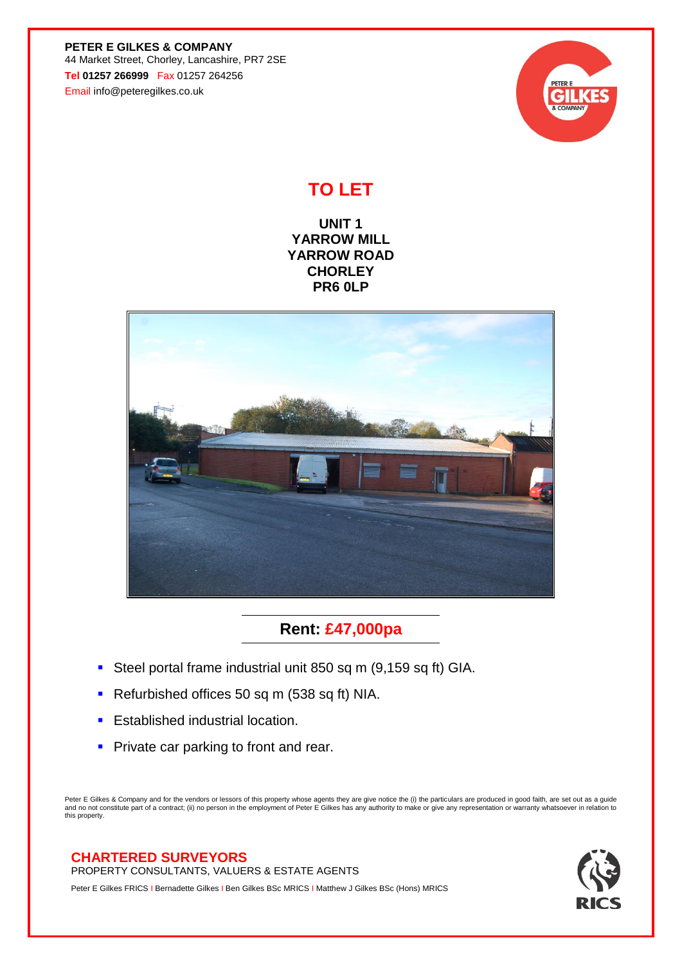**PETER E GILKES & COMPANY** 44 Market Street, Chorley, Lancashire, PR7 2SE **Tel 01257 266999** Fax 01257 264256 Email info@peteregilkes.co.uk



## **TO LET**

**UNIT 1 YARROW MILL YARROW ROAD CHORLEY PR6 0LP**



**Rent: £47,000pa**

- **EXECTE PORTAL STEEL PORT IS SEEN FIGURE 15 SECTE 15 SEEN FIGURE 15 SEEN SEEN** CIA.
- Refurbished offices 50 sq m (538 sq ft) NIA.
- **Established industrial location.**
- **Private car parking to front and rear.**

Peter E Gilkes & Company and for the vendors or lessors of this property whose agents they are give notice the (i) the particulars are produced in good faith, are set out as a guide<br>and no not constitute part of a contract this property.

## **CHARTERED SURVEYORS**

PROPERTY CONSULTANTS, VALUERS & ESTATE AGENTS

Peter E Gilkes FRICS I Bernadette Gilkes I Ben Gilkes BSc MRICS I Matthew J Gilkes BSc (Hons) MRICS

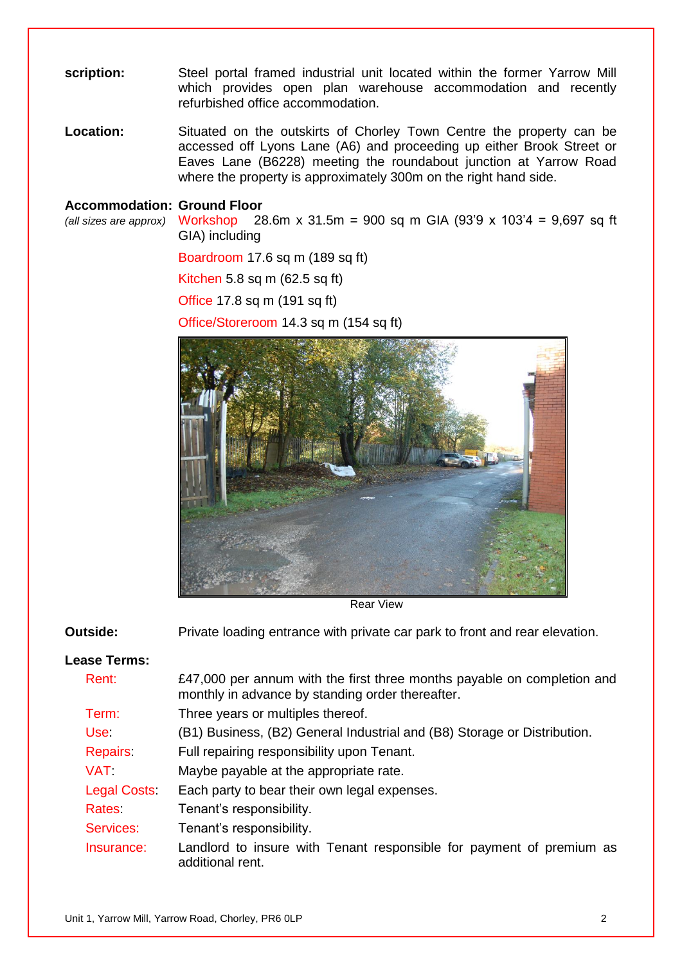**scription:** Steel portal framed industrial unit located within the former Yarrow Mill which provides open plan warehouse accommodation and recently refurbished office accommodation.

**Location:** Situated on the outskirts of Chorley Town Centre the property can be accessed off Lyons Lane (A6) and proceeding up either Brook Street or Eaves Lane (B6228) meeting the roundabout junction at Yarrow Road where the property is approximately 300m on the right hand side.

## **Accommodation: Ground Floor**

*(all sizes are approx)* Workshop 28.6m x 31.5m = 900 sq m GIA (93'9 x 103'4 = 9,697 sq ft GIA) including

Boardroom 17.6 sq m (189 sq ft)

Kitchen 5.8 sq m (62.5 sq ft)

Office 17.8 sq m (191 sq ft)

Office/Storeroom 14.3 sq m (154 sq ft)



Rear View

Private loading entrance with private car park to front and rear elevation. **Outside:** 

## **Lease Terms:**

| Rent:              | £47,000 per annum with the first three months payable on completion and<br>monthly in advance by standing order thereafter. |
|--------------------|-----------------------------------------------------------------------------------------------------------------------------|
| Term:              | Three years or multiples thereof.                                                                                           |
| <b>Use</b>         | (B1) Business, (B2) General Industrial and (B8) Storage or Distribution.                                                    |
| Repairs:           | Full repairing responsibility upon Tenant.                                                                                  |
| <b>VAT</b>         | Maybe payable at the appropriate rate.                                                                                      |
| <b>Legal Costs</b> | Each party to bear their own legal expenses.                                                                                |
| Rates              | Tenant's responsibility.                                                                                                    |
| Services:          | Tenant's responsibility.                                                                                                    |
| Insurance:         | Landlord to insure with Tenant responsible for payment of premium as<br>additional rent.                                    |